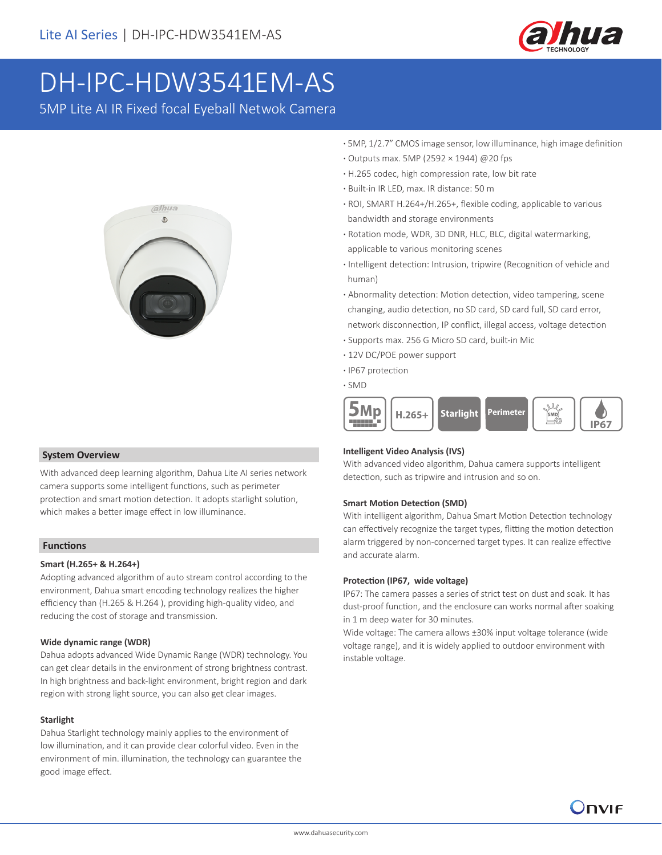

# DH-IPC-HDW3541EM-AS

5MP Lite AI IR Fixed focal Eyeball Netwok Camera



 **System Overview**

With advanced deep learning algorithm, Dahua Lite AI series network camera supports some intelligent functions, such as perimeter protection and smart motion detection. It adopts starlight solution, which makes a better image effect in low illuminance.

### **Functions**

### **Smart (H.265+ & H.264+)**

Adopting advanced algorithm of auto stream control according to the environment, Dahua smart encoding technology realizes the higher efficiency than (H.265 & H.264 ), providing high-quality video, and reducing the cost of storage and transmission.

### **Wide dynamic range (WDR)**

Dahua adopts advanced Wide Dynamic Range (WDR) technology. You can get clear details in the environment of strong brightness contrast. In high brightness and back-light environment, bright region and dark region with strong light source, you can also get clear images.

### **Starlight**

Dahua Starlight technology mainly applies to the environment of low illumination, and it can provide clear colorful video. Even in the environment of min. illumination, the technology can guarantee the good image effect.

- **·** 5MP, 1/2.7" CMOS image sensor, low illuminance, high image definition
- **·** Outputs max. 5MP (2592 × 1944) @20 fps
- **·** H.265 codec, high compression rate, low bit rate
- **·** Built-in IR LED, max. IR distance: 50 m
- **·** ROI, SMART H.264+/H.265+, flexible coding, applicable to various bandwidth and storage environments
- **·** Rotation mode, WDR, 3D DNR, HLC, BLC, digital watermarking, applicable to various monitoring scenes
- **·** Intelligent detection: Intrusion, tripwire (Recognition of vehicle and human)
- **·** Abnormality detection: Motion detection, video tampering, scene changing, audio detection, no SD card, SD card full, SD card error, network disconnection, IP conflict, illegal access, voltage detection
- **·** Supports max. 256 G Micro SD card, built-in Mic
- **·** 12V DC/POE power support
- **·** IP67 protection
- **·** SMD



### **Intelligent Video Analysis (IVS)**

With advanced video algorithm, Dahua camera supports intelligent detection, such as tripwire and intrusion and so on.

### **Smart Motion Detection (SMD)**

With intelligent algorithm, Dahua Smart Motion Detection technology can effectively recognize the target types, flitting the motion detection alarm triggered by non-concerned target types. It can realize effective and accurate alarm.

#### **Protection (IP67, wide voltage)**

IP67: The camera passes a series of strict test on dust and soak. It has dust-proof function, and the enclosure can works normal after soaking in 1 m deep water for 30 minutes.

Wide voltage: The camera allows ±30% input voltage tolerance (wide voltage range), and it is widely applied to outdoor environment with instable voltage.

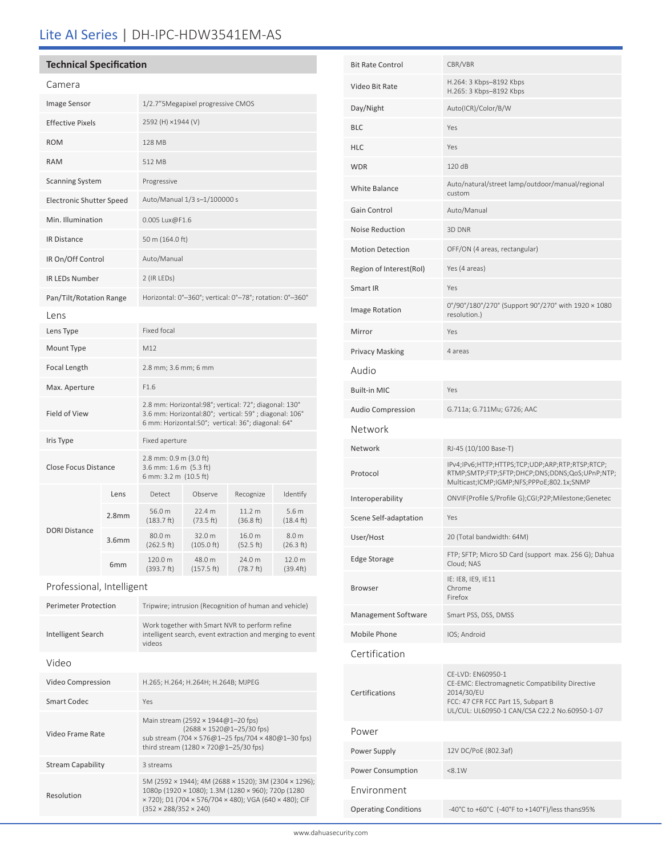# Lite AI Series | DH-IPC-HDW3541EM-AS

### **Technical Specification**

| Camera                          |                   |                                                                                                                                                                      |                                |                                |                                         |
|---------------------------------|-------------------|----------------------------------------------------------------------------------------------------------------------------------------------------------------------|--------------------------------|--------------------------------|-----------------------------------------|
| <b>Image Sensor</b>             |                   | 1/2.7" 5 Megapixel progressive CMOS                                                                                                                                  |                                |                                |                                         |
| <b>Effective Pixels</b>         |                   | 2592 (H) ×1944 (V)                                                                                                                                                   |                                |                                |                                         |
| <b>ROM</b>                      |                   | <b>128 MB</b>                                                                                                                                                        |                                |                                |                                         |
| <b>RAM</b>                      |                   | 512 MB                                                                                                                                                               |                                |                                |                                         |
| <b>Scanning System</b>          |                   | Progressive                                                                                                                                                          |                                |                                |                                         |
| <b>Electronic Shutter Speed</b> |                   | Auto/Manual 1/3 s-1/100000 s                                                                                                                                         |                                |                                |                                         |
| Min. Illumination               |                   | 0.005 Lux@F1.6                                                                                                                                                       |                                |                                |                                         |
| <b>IR Distance</b>              |                   | 50 m (164.0 ft)                                                                                                                                                      |                                |                                |                                         |
| IR On/Off Control               |                   | Auto/Manual                                                                                                                                                          |                                |                                |                                         |
| <b>IR LEDs Number</b>           |                   | 2 (IR LEDS)                                                                                                                                                          |                                |                                |                                         |
| Pan/Tilt/Rotation Range         |                   | Horizontal: 0°-360°; vertical: 0°-78°; rotation: 0°-360°                                                                                                             |                                |                                |                                         |
| Lens                            |                   |                                                                                                                                                                      |                                |                                |                                         |
| Lens Type                       |                   | Fixed focal                                                                                                                                                          |                                |                                |                                         |
| Mount Type                      |                   | M12                                                                                                                                                                  |                                |                                |                                         |
| Focal Length                    |                   | 2.8 mm; 3.6 mm; 6 mm                                                                                                                                                 |                                |                                |                                         |
| Max. Aperture                   |                   | F1.6                                                                                                                                                                 |                                |                                |                                         |
| Field of View                   |                   | 2.8 mm: Horizontal:98°; vertical: 72°; diagonal: 130°<br>3.6 mm: Horizontal:80°; vertical: 59°; diagonal: 106°<br>6 mm: Horizontal:50°; vertical: 36°; diagonal: 64° |                                |                                |                                         |
| Iris Type                       |                   | Fixed aperture                                                                                                                                                       |                                |                                |                                         |
| <b>Close Focus Distance</b>     |                   | 2.8 mm: 0.9 m (3.0 ft)<br>3.6 mm: $1.6$ m $(5.3$ ft)<br>6 mm: 3.2 m (10.5 ft)                                                                                        |                                |                                |                                         |
|                                 | Lens              | Detect                                                                                                                                                               | Observe                        | Recognize                      | Identify                                |
| <b>DORI Distance</b>            | 2.8 <sub>mm</sub> | 56.0 m<br>$(183.7)$ ft)                                                                                                                                              | 22.4 m<br>(73.5 ft)            | 11.2 <sub>m</sub><br>(36.8 ft) | 5.6 <sub>m</sub><br>$(18.4 \text{ ft})$ |
|                                 | 3.6 <sub>mm</sub> | 80.0 m<br>(262.5 ft)                                                                                                                                                 | 32.0 m<br>$(105.0 \text{ ft})$ | 16.0 m<br>(52.5 ft)            | 8.0 m<br>(26.3 ft)                      |
|                                 | 6 <sub>mm</sub>   | 120.0 m<br>(393.7 ft)                                                                                                                                                | 48.0 m<br>(157.5 ft)           | 24.0 m<br>(78.7 ft)            | 12.0 m<br>(39.4ft)                      |

Professional, Intelligent

| <b>Perimeter Protection</b> | Tripwire; intrusion (Recognition of human and vehicle)                                                                                                                                                     |  |  |
|-----------------------------|------------------------------------------------------------------------------------------------------------------------------------------------------------------------------------------------------------|--|--|
| Intelligent Search          | Work together with Smart NVR to perform refine<br>intelligent search, event extraction and merging to event<br>videos                                                                                      |  |  |
| Video                       |                                                                                                                                                                                                            |  |  |
| Video Compression           | H.265; H.264; H.264H; H.264B; MJPEG                                                                                                                                                                        |  |  |
| Smart Codec                 | Yes                                                                                                                                                                                                        |  |  |
| Video Frame Rate            | Main stream (2592 × 1944@1-20 fps)<br>(2688 × 1520@1-25/30 fps)<br>sub stream (704 × 576@1-25 fps/704 × 480@1-30 fps)<br>third stream (1280 $\times$ 720@1-25/30 fps)                                      |  |  |
| <b>Stream Capability</b>    | 3 streams                                                                                                                                                                                                  |  |  |
| Resolution                  | 5M (2592 × 1944); 4M (2688 × 1520); 3M (2304 × 1296);<br>1080p (1920 × 1080); 1.3M (1280 × 960); 720p (1280<br>x 720); D1 (704 x 576/704 x 480); VGA (640 x 480); CIF<br>$(352 \times 288/352 \times 240)$ |  |  |

| <b>Bit Rate Control</b>     | CBR/VBR                                                                                                                                                                   |  |  |  |  |
|-----------------------------|---------------------------------------------------------------------------------------------------------------------------------------------------------------------------|--|--|--|--|
| Video Bit Rate              | H.264: 3 Kbps-8192 Kbps<br>H.265: 3 Kbps-8192 Kbps                                                                                                                        |  |  |  |  |
| Day/Night                   | Auto(ICR)/Color/B/W                                                                                                                                                       |  |  |  |  |
| <b>BLC</b>                  | Yes                                                                                                                                                                       |  |  |  |  |
| <b>HLC</b>                  | Yes                                                                                                                                                                       |  |  |  |  |
| <b>WDR</b>                  | 120 dB                                                                                                                                                                    |  |  |  |  |
| White Balance               | Auto/natural/street lamp/outdoor/manual/regional<br>custom                                                                                                                |  |  |  |  |
| Gain Control                | Auto/Manual                                                                                                                                                               |  |  |  |  |
| Noise Reduction             | 3D DNR                                                                                                                                                                    |  |  |  |  |
| <b>Motion Detection</b>     | OFF/ON (4 areas, rectangular)                                                                                                                                             |  |  |  |  |
| Region of Interest(RoI)     | Yes (4 areas)                                                                                                                                                             |  |  |  |  |
| Smart IR                    | Yes                                                                                                                                                                       |  |  |  |  |
| Image Rotation              | 0°/90°/180°/270° (Support 90°/270° with 1920 × 1080<br>resolution.)                                                                                                       |  |  |  |  |
| Mirror                      | Yes                                                                                                                                                                       |  |  |  |  |
| <b>Privacy Masking</b>      | 4 areas                                                                                                                                                                   |  |  |  |  |
| Audio                       |                                                                                                                                                                           |  |  |  |  |
| <b>Built-in MIC</b>         | Yes                                                                                                                                                                       |  |  |  |  |
| <b>Audio Compression</b>    | G.711a; G.711Mu; G726; AAC                                                                                                                                                |  |  |  |  |
| Network                     |                                                                                                                                                                           |  |  |  |  |
| Network                     | RJ-45 (10/100 Base-T)                                                                                                                                                     |  |  |  |  |
| Protocol                    | IPv4;IPv6;HTTP;HTTPS;TCP;UDP;ARP;RTP;RTSP;RTCP;<br>RTMP;SMTP;FTP;SFTP;DHCP;DNS;DDNS;QoS;UPnP;NTP;<br>Multicast;ICMP;IGMP;NFS;PPPoE;802.1x;SNMP                            |  |  |  |  |
| Interoperability            | ONVIF(Profile S/Profile G);CGI;P2P;Milestone;Genetec                                                                                                                      |  |  |  |  |
| Scene Self-adaptation       | Yes                                                                                                                                                                       |  |  |  |  |
| User/Host                   | 20 (Total bandwidth: 64M)                                                                                                                                                 |  |  |  |  |
| Edge Storage                | FTP; SFTP; Micro SD Card (support max. 256 G); Dahua<br>Cloud; NAS                                                                                                        |  |  |  |  |
| <b>Browser</b>              | IE: IE8, IE9, IE11<br>Chrome<br>Firefox                                                                                                                                   |  |  |  |  |
| Management Software         | Smart PSS, DSS, DMSS                                                                                                                                                      |  |  |  |  |
| Mobile Phone                | IOS; Android                                                                                                                                                              |  |  |  |  |
| Certification               |                                                                                                                                                                           |  |  |  |  |
| Certifications              | CE-LVD: EN60950-1<br>CE-EMC: Electromagnetic Compatibility Directive<br>2014/30/EU<br>FCC: 47 CFR FCC Part 15, Subpart B<br>UL/CUL: UL60950-1 CAN/CSA C22.2 No.60950-1-07 |  |  |  |  |
| Power                       |                                                                                                                                                                           |  |  |  |  |
| Power Supply                | 12V DC/PoE (802.3af)                                                                                                                                                      |  |  |  |  |
| Power Consumption           | < 8.1W                                                                                                                                                                    |  |  |  |  |
| Environment                 |                                                                                                                                                                           |  |  |  |  |
| <b>Operating Conditions</b> | -40°C to +60°C (-40°F to +140°F)/less than≤95%                                                                                                                            |  |  |  |  |